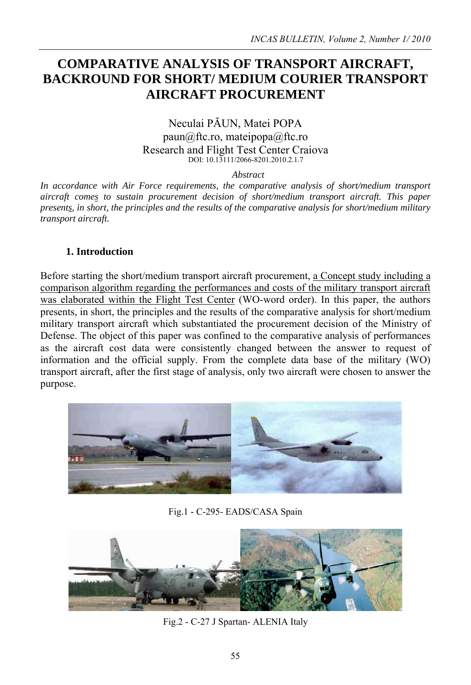# **COMPARATIVE ANALYSIS OF TRANSPORT AIRCRAFT, BACKROUND FOR SHORT/ MEDIUM COURIER TRANSPORT AIRCRAFT PROCUREMENT**

# Neculai PĂUN, Matei POPA paun@ftc.ro, mateipopa@ftc.ro Research and Flight Test Center Craiova DOI: 10.13111/2066-8201.2010.2.1.7

*Abstract* 

*In accordance with Air Force requirements, the comparative analysis of short/medium transport aircraft comes to sustain procurement decision of short/medium transport aircraft. This paper presents, in short, the principles and the results of the comparative analysis for short/medium military transport aircraft.* 

# **1. Introduction**

Before starting the short/medium transport aircraft procurement, a Concept study including a comparison algorithm regarding the performances and costs of the military transport aircraft was elaborated within the Flight Test Center (WO-word order). In this paper, the authors presents, in short, the principles and the results of the comparative analysis for short/medium military transport aircraft which substantiated the procurement decision of the Ministry of Defense. The object of this paper was confined to the comparative analysis of performances as the aircraft cost data were consistently changed between the answer to request of information and the official supply. From the complete data base of the military (WO) transport aircraft, after the first stage of analysis, only two aircraft were chosen to answer the purpose.



Fig.1 - C-295- EADS/CASA Spain



Fig.2 - C-27 J Spartan- ALENIA Italy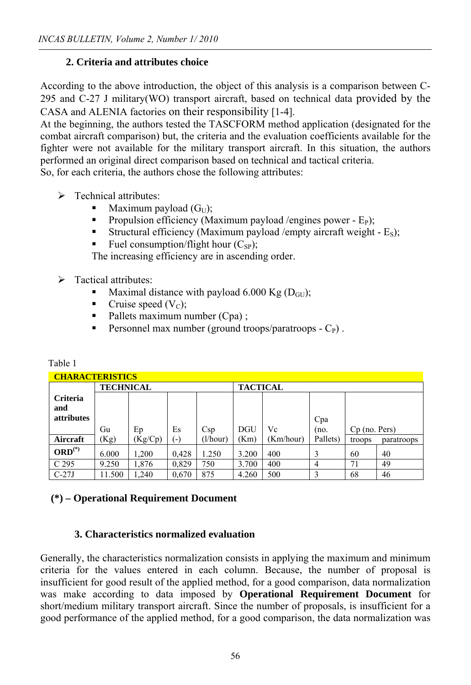# **2. Criteria and attributes choice**

According to the above introduction, the object of this analysis is a comparison between C-295 and C-27 J military(WO) transport aircraft, based on technical data provided by the CASA and ALENIA factories on their responsibility [1-4].

At the beginning, the authors tested the TASCFORM method application (designated for the combat aircraft comparison) but, the criteria and the evaluation coefficients available for the fighter were not available for the military transport aircraft. In this situation, the authors performed an original direct comparison based on technical and tactical criteria.

So, for each criteria, the authors chose the following attributes:

- $\triangleright$  Technical attributes:
	- Maximum payload  $(G_U)$ ;
	- Propulsion efficiency (Maximum payload /engines power  $E_P$ );
	- Structural efficiency (Maximum payload /empty aircraft weight  $E_s$ );
	- Fuel consumption/flight hour  $(C_{SP})$ ;

The increasing efficiency are in ascending order.

- $\triangleright$  Tactical attributes:
	- Maximal distance with payload 6.000 Kg  $(D_{\text{GU}})$ ;
	- Cruise speed  $(V_C)$ ;
	- $\blacksquare$  Pallets maximum number (Cpa);
	- Personnel max number (ground troops/paratroops  $-C_P$ ).

| CHARACTERISTICS                             |                  |         |       |          |                 |           |          |                 |            |
|---------------------------------------------|------------------|---------|-------|----------|-----------------|-----------|----------|-----------------|------------|
|                                             | <b>TECHNICAL</b> |         |       |          | <b>TACTICAL</b> |           |          |                 |            |
| <b>Criteria</b><br>and<br><i>attributes</i> |                  |         |       |          |                 |           | Cpa      |                 |            |
|                                             | Gu               | Ep      | Es    | Csp      | <b>DGU</b>      | Vc        | (no.     | $Cp$ (no. Pers) |            |
| Aircraft                                    | (Kg)             | (Kg/Cp) | $(-)$ | (l/hour) | (Km)            | (Km/hour) | Pallets) | troops          | paratroops |
| $ORD(*)$                                    | 6.000            | 1,200   | 0,428 | 1.250    | 3.200           | 400       | 3        | 60              | 40         |
| C 295                                       | 9.250            | 1,876   | 0,829 | 750      | 3.700           | 400       | 4        | 71              | 49         |
| $C-27J$                                     | 11.500           | 1,240   | 0,670 | 875      | 4.260           | 500       |          | 68              | 46         |

# Table 1

# **(\*) – Operational Requirement Document**

#### **3. Characteristics normalized evaluation**

Generally, the characteristics normalization consists in applying the maximum and minimum criteria for the values entered in each column. Because, the number of proposal is insufficient for good result of the applied method, for a good comparison, data normalization was make according to data imposed by **Operational Requirement Document** for short/medium military transport aircraft. Since the number of proposals, is insufficient for a good performance of the applied method, for a good comparison, the data normalization was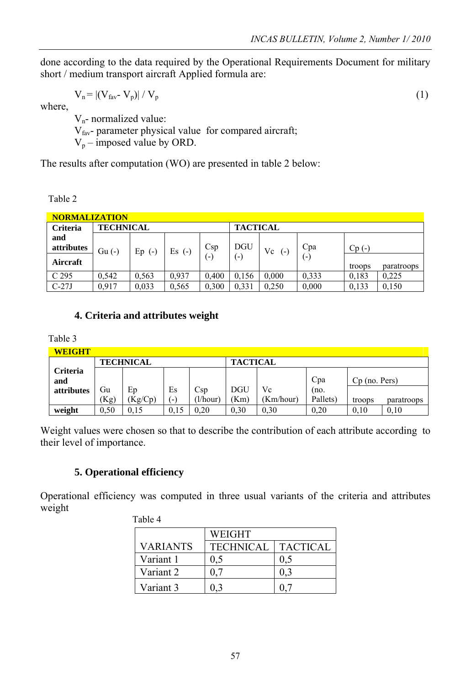done according to the data required by the Operational Requirements Document for military short / medium transport aircraft Applied formula are:

$$
V_n = |(V_{\text{fav}} \cdot V_p)| / V_p \tag{1}
$$

where,

 Vn- normalized value:  $V_{\text{fav}}$ - parameter physical value for compared aircraft;  $V_p$  – imposed value by ORD.

The results after computation (WO) are presented in table 2 below:

Table 2

| <b>NORMALIZATION</b> |                  |             |          |                   |                        |             |       |         |            |
|----------------------|------------------|-------------|----------|-------------------|------------------------|-------------|-------|---------|------------|
| <b>Criteria</b>      | <b>TECHNICAL</b> |             |          |                   | <b>TACTICAL</b>        |             |       |         |            |
| and                  |                  |             |          |                   |                        |             |       |         |            |
| attributes           | $Gu(-)$          | Ep<br>$(-)$ | $Es$ (-) | Csp               | <b>DGU</b>             | Vc<br>$(-)$ | Cpa   | $Cp(-)$ |            |
| Aircraft             |                  |             |          | $\left( -\right)$ | $\left( \cdot \right)$ |             | (-)   |         |            |
|                      |                  |             |          |                   |                        |             |       | troops  | paratroops |
| C <sub>295</sub>     | 0,542            | 0.563       | 0.937    | 0,400             | 0,156                  | 0,000       | 0.333 | 0.183   | 0,225      |
| $C-27J$              | 0.917            | 0,033       | 0.565    | 0.300             | 0.331                  | 0.250       | 0.000 | 0.133   | 0.150      |

# **4. Criteria and attributes weight**

Table 3

| <b>WEIGHT</b> |                  |         |      |        |                 |           |          |                 |            |  |
|---------------|------------------|---------|------|--------|-----------------|-----------|----------|-----------------|------------|--|
|               | <b>TECHNICAL</b> |         |      |        | <b>TACTICAL</b> |           |          |                 |            |  |
| Criteria      |                  |         |      |        |                 |           |          |                 |            |  |
| and           |                  |         |      |        |                 |           | Cpa      | $Cp$ (no. Pers) |            |  |
| attributes    | Gu               | Ep      | Es   | Csp    | <b>DGU</b>      | Vc        | (no.     |                 |            |  |
|               | (Kg)             | (Kg/Cp) | (-   | 1/hour | Km)             | (Km/hour) | Pallets) | troops          | paratroops |  |
| weight        | 0.50             | 0.15    | 0.15 | 0.20   | 0.30            | 0.30      | 0,20     | 0.10            | 0.10       |  |

Weight values were chosen so that to describe the contribution of each attribute according to their level of importance.

# **5. Operational efficiency**

Operational efficiency was computed in three usual variants of the criteria and attributes weight

| Table 4 |                 |                  |                 |  |  |  |
|---------|-----------------|------------------|-----------------|--|--|--|
|         |                 | WEIGHT           |                 |  |  |  |
|         | <b>VARIANTS</b> | <b>TECHNICAL</b> | <b>TACTICAL</b> |  |  |  |
|         | Variant 1       |                  |                 |  |  |  |
|         | Variant 2       |                  |                 |  |  |  |
|         | Variant 3       |                  |                 |  |  |  |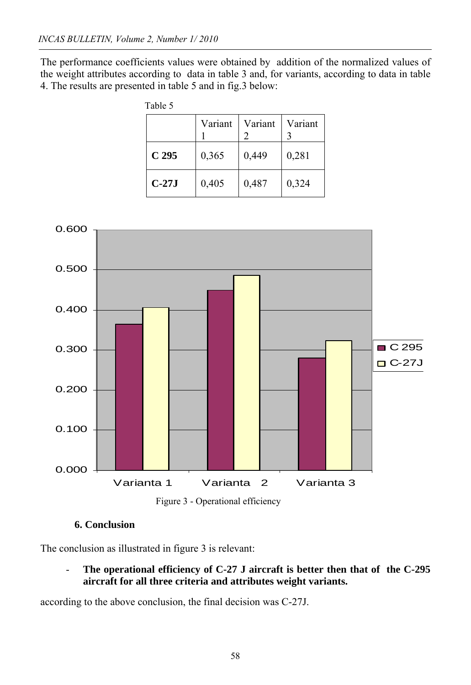The performance coefficients values were obtained by addition of the normalized values of the weight attributes according to data in table 3 and, for variants, according to data in table 4. The results are presented in table 5 and in fig.3 below:

| Table 5          |         |         |         |
|------------------|---------|---------|---------|
|                  | Variant | Variant | Variant |
| C <sub>295</sub> | 0,365   | 0,449   | 0,281   |
| $C-27J$          | 0,405   | 0,487   | 0,324   |



**6. Conclusion** 

The conclusion as illustrated in figure 3 is relevant:

- **The operational efficiency of C-27 J aircraft is better then that of the C-295 aircraft for all three criteria and attributes weight variants.**

according to the above conclusion, the final decision was C-27J.